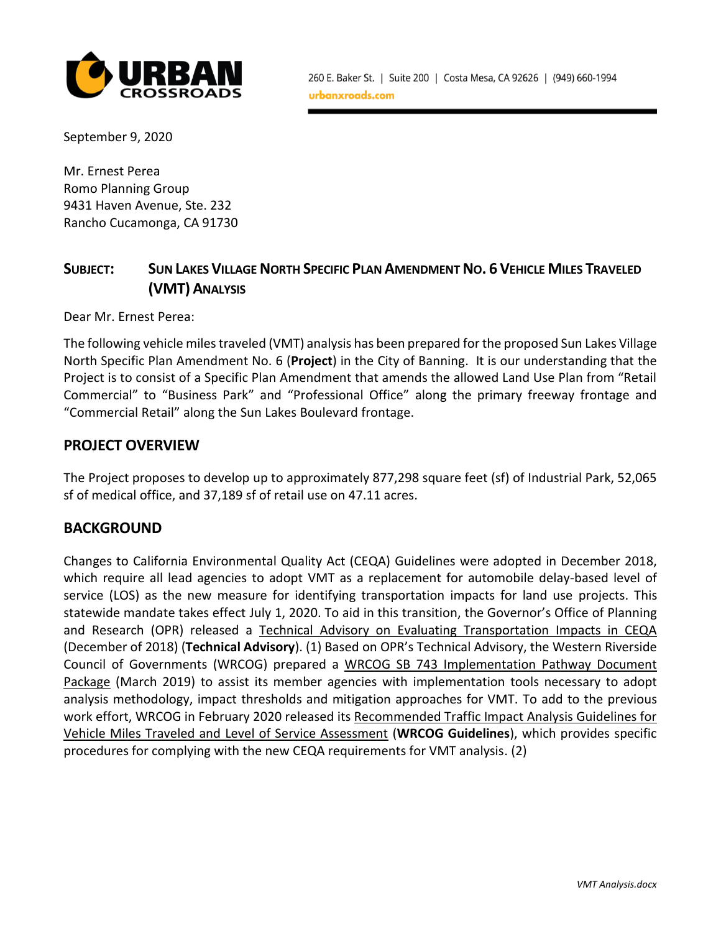

September 9, 2020

Mr. Ernest Perea Romo Planning Group 9431 Haven Avenue, Ste. 232 Rancho Cucamonga, CA 91730

# SUBJECT: SUN LAKES VILLAGE NORTH SPECIFIC PLAN AMENDMENT NO. 6 VEHICLE MILES TRAVELED **(VMT)ANALYSIS**

Dear Mr. Ernest Perea:

The following vehicle miles traveled (VMT) analysis has been prepared for the proposed Sun Lakes Village North Specific Plan Amendment No. 6 (**Project**) in the City of Banning. It is our understanding that the Project is to consist of a Specific Plan Amendment that amends the allowed Land Use Plan from "Retail Commercial" to "Business Park" and "Professional Office" along the primary freeway frontage and "Commercial Retail" along the Sun Lakes Boulevard frontage.

### **PROJECT OVERVIEW**

The Project proposes to develop up to approximately 877,298 square feet (sf) of Industrial Park, 52,065 sf of medical office, and 37,189 sf of retail use on 47.11 acres.

#### **BACKGROUND**

Changes to California Environmental Quality Act (CEQA) Guidelines were adopted in December 2018, which require all lead agencies to adopt VMT as a replacement for automobile delay-based level of service (LOS) as the new measure for identifying transportation impacts for land use projects. This statewide mandate takes effect July 1, 2020. To aid in this transition, the Governor's Office of Planning and Research (OPR) released a Technical Advisory on Evaluating Transportation Impacts in CEQA (December of 2018) (**Technical Advisory**). (1) Based on OPR's Technical Advisory, the Western Riverside Council of Governments (WRCOG) prepared a WRCOG SB 743 Implementation Pathway Document Package (March 2019) to assist its member agencies with implementation tools necessary to adopt analysis methodology, impact thresholds and mitigation approaches for VMT. To add to the previous work effort, WRCOG in February 2020 released its Recommended Traffic Impact Analysis Guidelines for Vehicle Miles Traveled and Level of Service Assessment (**WRCOG Guidelines**), which provides specific procedures for complying with the new CEQA requirements for VMT analysis. (2)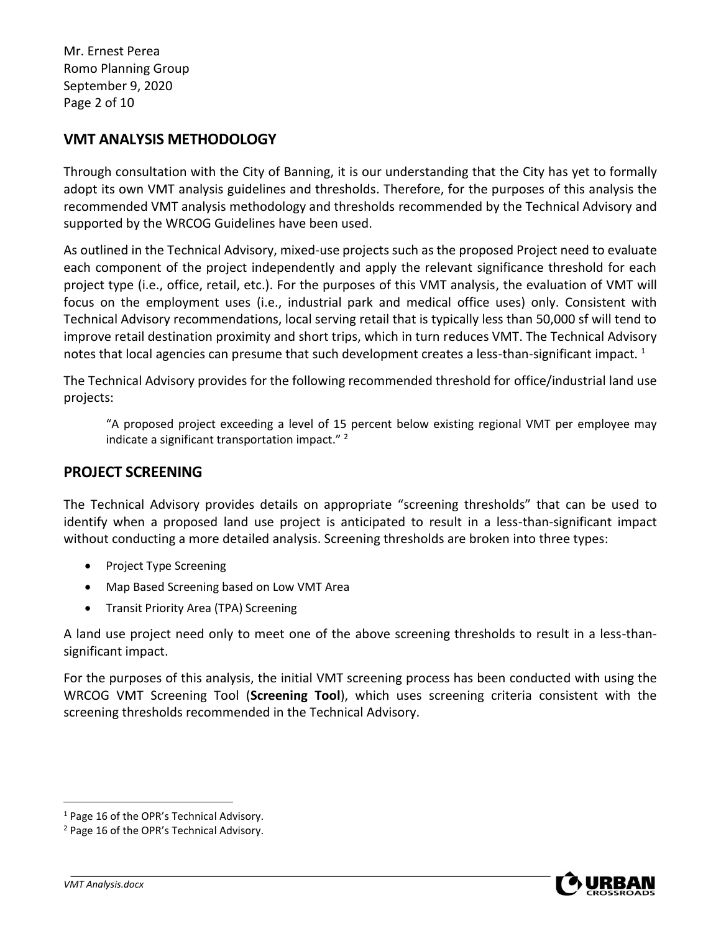Mr. Ernest Perea Romo Planning Group September 9, 2020 Page 2 of 10

# **VMT ANALYSIS METHODOLOGY**

Through consultation with the City of Banning, it is our understanding that the City has yet to formally adopt its own VMT analysis guidelines and thresholds. Therefore, for the purposes of this analysis the recommended VMT analysis methodology and thresholds recommended by the Technical Advisory and supported by the WRCOG Guidelines have been used.

As outlined in the Technical Advisory, mixed-use projects such as the proposed Project need to evaluate each component of the project independently and apply the relevant significance threshold for each project type (i.e., office, retail, etc.). For the purposes of this VMT analysis, the evaluation of VMT will focus on the employment uses (i.e., industrial park and medical office uses) only. Consistent with Technical Advisory recommendations, local serving retail that is typically less than 50,000 sf will tend to improve retail destination proximity and short trips, which in turn reduces VMT. The Technical Advisory notes that local agencies can presume that such development creates a less-than-significant impact.  $1$ 

The Technical Advisory provides for the following recommended threshold for office/industrial land use projects:

"A proposed project exceeding a level of 15 percent below existing regional VMT per employee may indicate a significant transportation impact." $2$ 

## **PROJECT SCREENING**

The Technical Advisory provides details on appropriate "screening thresholds" that can be used to identify when a proposed land use project is anticipated to result in a less-than-significant impact without conducting a more detailed analysis. Screening thresholds are broken into three types:

- Project Type Screening
- Map Based Screening based on Low VMT Area
- Transit Priority Area (TPA) Screening

A land use project need only to meet one of the above screening thresholds to result in a less-thansignificant impact.

For the purposes of this analysis, the initial VMT screening process has been conducted with using the WRCOG VMT Screening Tool (**Screening Tool**), which uses screening criteria consistent with the screening thresholds recommended in the Technical Advisory.

<sup>&</sup>lt;sup>1</sup> Page 16 of the OPR's Technical Advisory.

<sup>2</sup> Page 16 of the OPR's Technical Advisory.

*VMT Analysis.docx*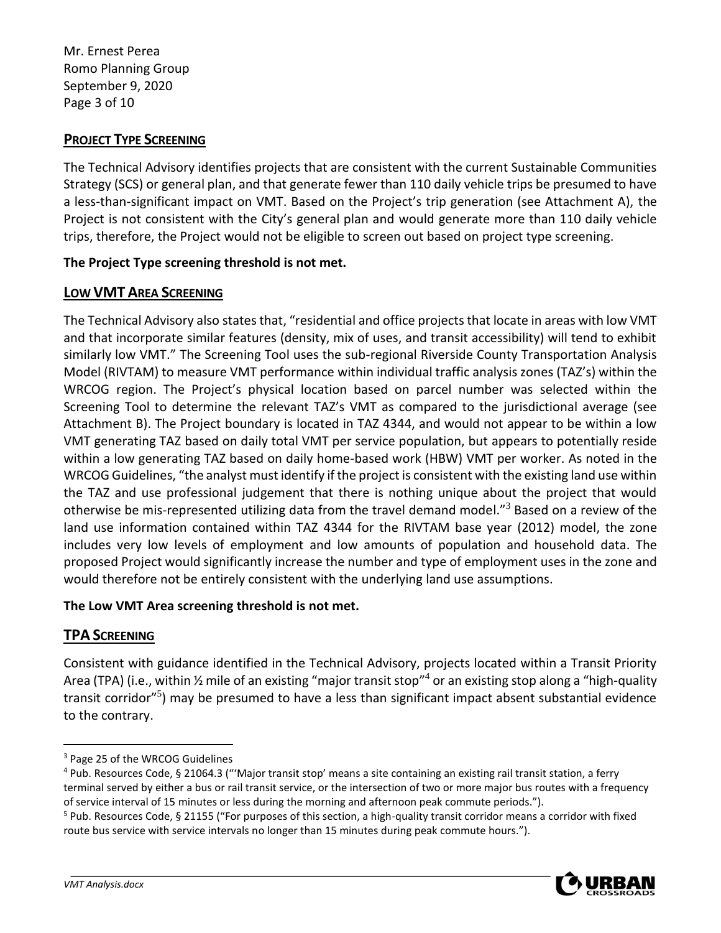Mr. Ernest Perea Romo Planning Group September 9, 2020 Page 3 of 10

## **PROJECT TYPE SCREENING**

The Technical Advisory identifies projects that are consistent with the current Sustainable Communities Strategy (SCS) or general plan, and that generate fewer than 110 daily vehicle trips be presumed to have a less-than-significant impact on VMT. Based on the Project's trip generation (see Attachment A), the Project is not consistent with the City's general plan and would generate more than 110 daily vehicle trips, therefore, the Project would not be eligible to screen out based on project type screening.

### **The Project Type screening threshold is not met.**

### **LOW VMT AREA SCREENING**

The Technical Advisory also states that, "residential and office projects that locate in areas with low VMT and that incorporate similar features (density, mix of uses, and transit accessibility) will tend to exhibit similarly low VMT." The Screening Tool uses the sub-regional Riverside County Transportation Analysis Model (RIVTAM) to measure VMT performance within individual traffic analysis zones (TAZ's) within the WRCOG region. The Project's physical location based on parcel number was selected within the Screening Tool to determine the relevant TAZ's VMT as compared to the jurisdictional average (see Attachment B). The Project boundary is located in TAZ 4344, and would not appear to be within a low VMT generating TAZ based on daily total VMT per service population, but appears to potentially reside within a low generating TAZ based on daily home-based work (HBW) VMT per worker. As noted in the WRCOG Guidelines, "the analyst must identify if the project is consistent with the existing land use within the TAZ and use professional judgement that there is nothing unique about the project that would otherwise be mis-represented utilizing data from the travel demand model."<sup>3</sup> Based on a review of the land use information contained within TAZ 4344 for the RIVTAM base year (2012) model, the zone includes very low levels of employment and low amounts of population and household data. The proposed Project would significantly increase the number and type of employment uses in the zone and would therefore not be entirely consistent with the underlying land use assumptions.

### **The Low VMT Area screening threshold is not met.**

## **TPA SCREENING**

Consistent with guidance identified in the Technical Advisory, projects located within a Transit Priority Area (TPA) (i.e., within ½ mile of an existing "major transit stop"<sup>4</sup> or an existing stop along a "high-quality transit corridor"<sup>5</sup>) may be presumed to have a less than significant impact absent substantial evidence to the contrary.

<sup>&</sup>lt;sup>5</sup> Pub. Resources Code, § 21155 ("For purposes of this section, a high-quality transit corridor means a corridor with fixed route bus service with service intervals no longer than 15 minutes during peak commute hours.").



<sup>3</sup> Page 25 of the WRCOG Guidelines

<sup>4</sup> Pub. Resources Code, § 21064.3 ("'Major transit stop' means a site containing an existing rail transit station, a ferry terminal served by either a bus or rail transit service, or the intersection of two or more major bus routes with a frequency of service interval of 15 minutes or less during the morning and afternoon peak commute periods.").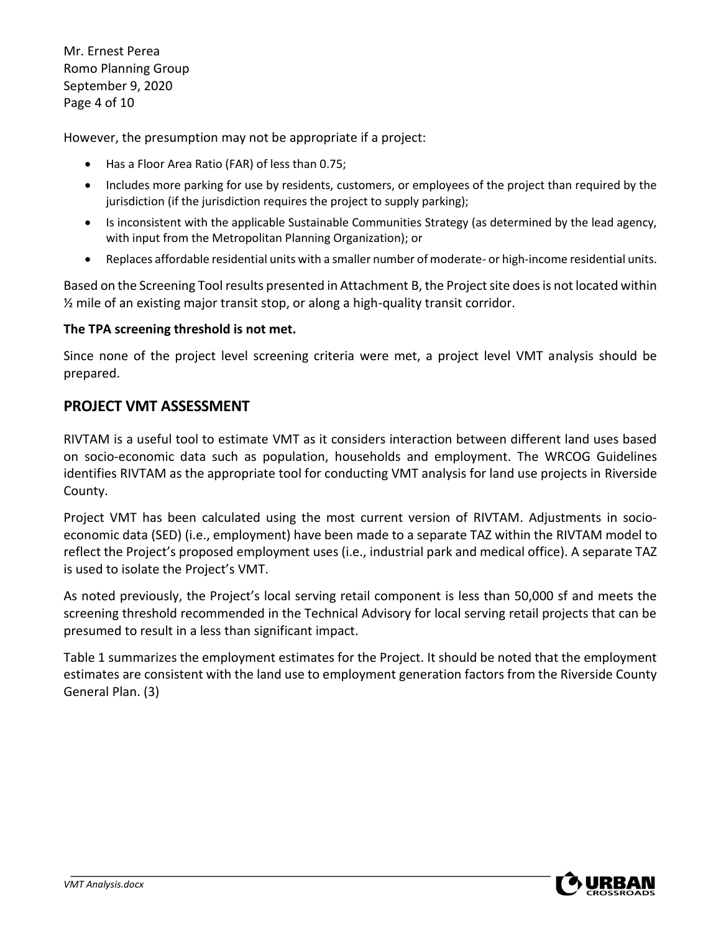Mr. Ernest Perea Romo Planning Group September 9, 2020 Page 4 of 10

However, the presumption may not be appropriate if a project:

- Has a Floor Area Ratio (FAR) of less than 0.75;
- Includes more parking for use by residents, customers, or employees of the project than required by the jurisdiction (if the jurisdiction requires the project to supply parking);
- Is inconsistent with the applicable Sustainable Communities Strategy (as determined by the lead agency, with input from the Metropolitan Planning Organization); or
- Replaces affordable residential units with a smaller number of moderate- or high-income residential units.

Based on the Screening Tool results presented in Attachment B, the Project site does is not located within  $\frac{1}{2}$  mile of an existing major transit stop, or along a high-quality transit corridor.

#### **The TPA screening threshold is not met.**

Since none of the project level screening criteria were met, a project level VMT analysis should be prepared.

### **PROJECT VMT ASSESSMENT**

RIVTAM is a useful tool to estimate VMT as it considers interaction between different land uses based on socio-economic data such as population, households and employment. The WRCOG Guidelines identifies RIVTAM as the appropriate tool for conducting VMT analysis for land use projects in Riverside County.

Project VMT has been calculated using the most current version of RIVTAM. Adjustments in socioeconomic data (SED) (i.e., employment) have been made to a separate TAZ within the RIVTAM model to reflect the Project's proposed employment uses (i.e., industrial park and medical office). A separate TAZ is used to isolate the Project's VMT.

As noted previously, the Project's local serving retail component is less than 50,000 sf and meets the screening threshold recommended in the Technical Advisory for local serving retail projects that can be presumed to result in a less than significant impact.

Table 1 summarizes the employment estimates for the Project. It should be noted that the employment estimates are consistent with the land use to employment generation factors from the Riverside County General Plan. (3)

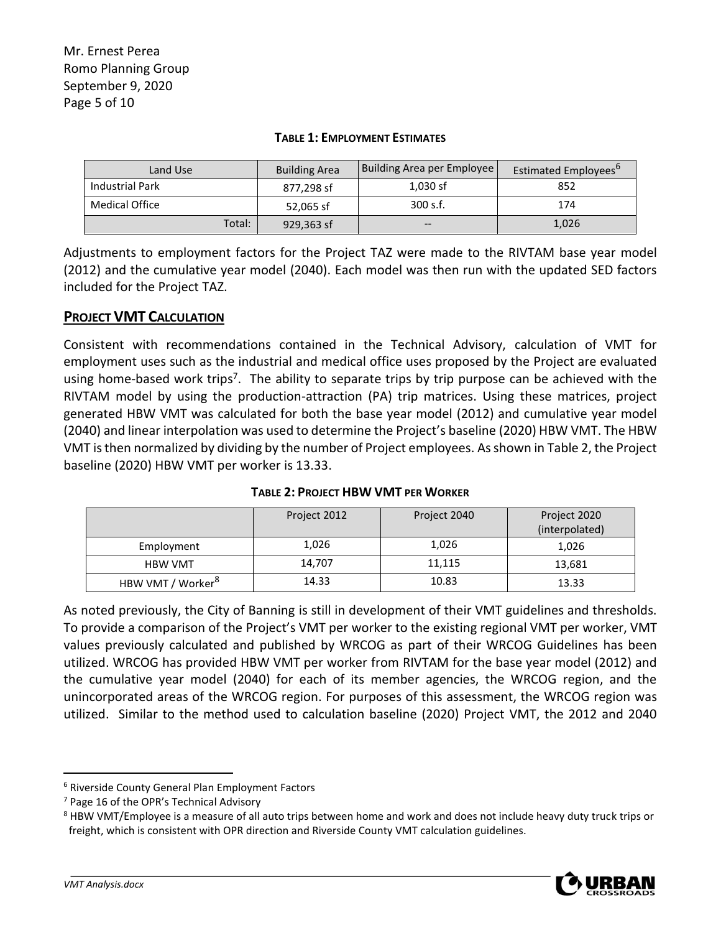| Land Use               | <b>Building Area</b> | Building Area per Employee | Estimated Employees <sup>b</sup> |  |  |
|------------------------|----------------------|----------------------------|----------------------------------|--|--|
| <b>Industrial Park</b> | 877.298 sf           | $1,030$ sf                 | 852                              |  |  |
| <b>Medical Office</b>  | 52,065 sf            | 300 s.f.                   | 174                              |  |  |
| Total:                 | 929,363 sf           | $- -$                      | 1,026                            |  |  |

#### **TABLE 1: EMPLOYMENT ESTIMATES**

Adjustments to employment factors for the Project TAZ were made to the RIVTAM base year model (2012) and the cumulative year model (2040). Each model was then run with the updated SED factors included for the Project TAZ.

### **PROJECT VMT CALCULATION**

Consistent with recommendations contained in the Technical Advisory, calculation of VMT for employment uses such as the industrial and medical office uses proposed by the Project are evaluated using home-based work trips<sup>7</sup>. The ability to separate trips by trip purpose can be achieved with the RIVTAM model by using the production-attraction (PA) trip matrices. Using these matrices, project generated HBW VMT was calculated for both the base year model (2012) and cumulative year model (2040) and linear interpolation was used to determine the Project's baseline (2020) HBW VMT. The HBW VMT is then normalized by dividing by the number of Project employees. As shown in Table 2, the Project baseline (2020) HBW VMT per worker is 13.33.

|                               | Project 2012 | Project 2040 | Project 2020<br>(interpolated) |
|-------------------------------|--------------|--------------|--------------------------------|
| Employment                    | 1,026        | 1,026        | 1,026                          |
| <b>HBW VMT</b>                | 14,707       | 11,115       | 13,681                         |
| HBW VMT / Worker <sup>8</sup> | 14.33        | 10.83        | 13.33                          |

**TABLE 2: PROJECT HBW VMT PER WORKER**

As noted previously, the City of Banning is still in development of their VMT guidelines and thresholds. To provide a comparison of the Project's VMT per worker to the existing regional VMT per worker, VMT values previously calculated and published by WRCOG as part of their WRCOG Guidelines has been utilized. WRCOG has provided HBW VMT per worker from RIVTAM for the base year model (2012) and the cumulative year model (2040) for each of its member agencies, the WRCOG region, and the unincorporated areas of the WRCOG region. For purposes of this assessment, the WRCOG region was utilized. Similar to the method used to calculation baseline (2020) Project VMT, the 2012 and 2040

<sup>&</sup>lt;sup>8</sup> HBW VMT/Employee is a measure of all auto trips between home and work and does not include heavy duty truck trips or freight, which is consistent with OPR direction and Riverside County VMT calculation guidelines.



<sup>6</sup> Riverside County General Plan Employment Factors

<sup>7</sup> Page 16 of the OPR's Technical Advisory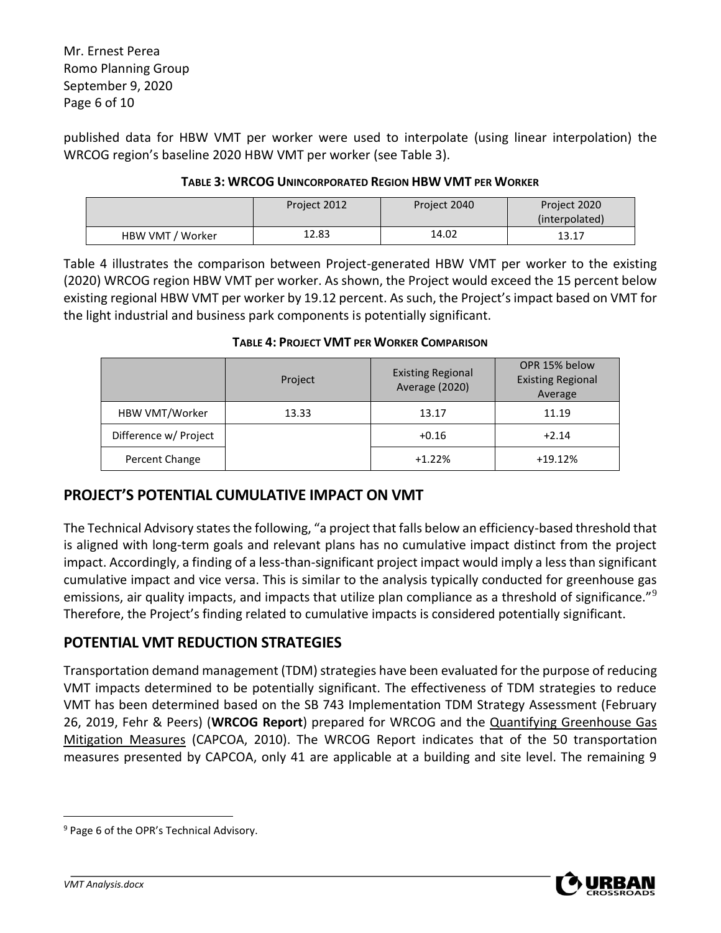Mr. Ernest Perea Romo Planning Group September 9, 2020 Page 6 of 10

published data for HBW VMT per worker were used to interpolate (using linear interpolation) the WRCOG region's baseline 2020 HBW VMT per worker (see Table 3).

#### **TABLE 3: WRCOG UNINCORPORATED REGION HBW VMT PER WORKER**

|                  | Project 2012 | Project 2040 | Project 2020<br>(interpolated) |
|------------------|--------------|--------------|--------------------------------|
| HBW VMT / Worker | 12.83        | 14.02        | 13.17                          |

Table 4 illustrates the comparison between Project-generated HBW VMT per worker to the existing (2020) WRCOG region HBW VMT per worker. As shown, the Project would exceed the 15 percent below existing regional HBW VMT per worker by 19.12 percent. As such, the Project's impact based on VMT for the light industrial and business park components is potentially significant.

|                       | Project | <b>Existing Regional</b><br>Average (2020) | OPR 15% below<br><b>Existing Regional</b><br>Average |  |  |  |
|-----------------------|---------|--------------------------------------------|------------------------------------------------------|--|--|--|
| HBW VMT/Worker        | 13.33   | 13.17                                      | 11.19                                                |  |  |  |
| Difference w/ Project |         | $+0.16$                                    | $+2.14$                                              |  |  |  |
| Percent Change        |         | $+1.22%$                                   | $+19.12%$                                            |  |  |  |

#### **TABLE 4: PROJECT VMT PER WORKER COMPARISON**

## **PROJECT'S POTENTIAL CUMULATIVE IMPACT ON VMT**

The Technical Advisory states the following, "a project that falls below an efficiency-based threshold that is aligned with long-term goals and relevant plans has no cumulative impact distinct from the project impact. Accordingly, a finding of a less-than-significant project impact would imply a less than significant cumulative impact and vice versa. This is similar to the analysis typically conducted for greenhouse gas emissions, air quality impacts, and impacts that utilize plan compliance as a threshold of significance."<sup>9</sup> Therefore, the Project's finding related to cumulative impacts is considered potentially significant.

## **POTENTIAL VMT REDUCTION STRATEGIES**

Transportation demand management (TDM) strategies have been evaluated for the purpose of reducing VMT impacts determined to be potentially significant. The effectiveness of TDM strategies to reduce VMT has been determined based on the SB 743 Implementation TDM Strategy Assessment (February 26, 2019, Fehr & Peers) (**WRCOG Report**) prepared for WRCOG and the Quantifying Greenhouse Gas Mitigation Measures (CAPCOA, 2010). The WRCOG Report indicates that of the 50 transportation measures presented by CAPCOA, only 41 are applicable at a building and site level. The remaining 9



<sup>&</sup>lt;sup>9</sup> Page 6 of the OPR's Technical Advisory.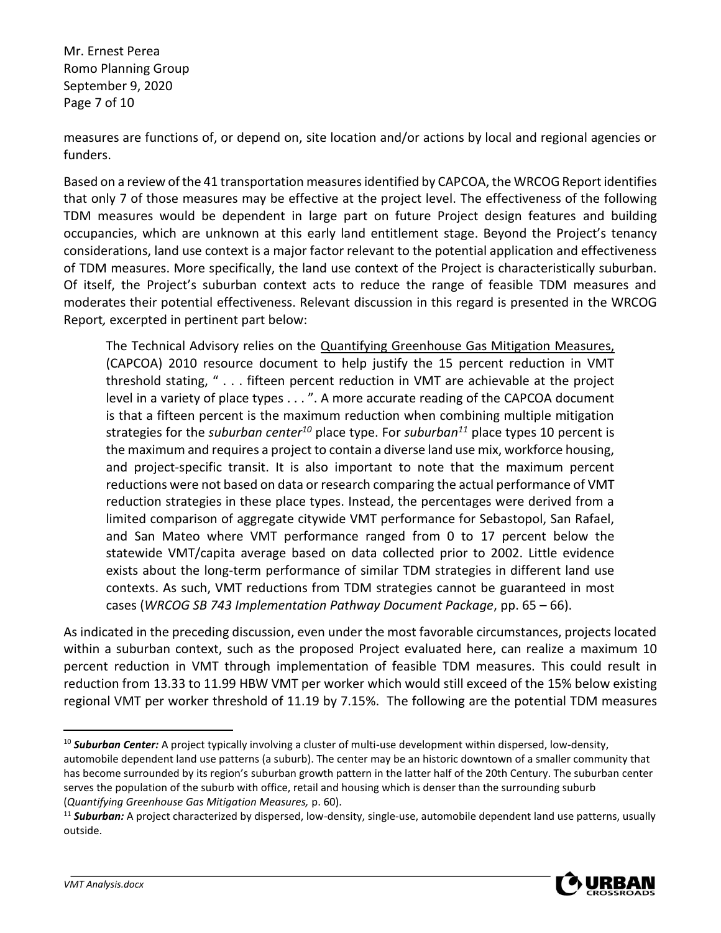Mr. Ernest Perea Romo Planning Group September 9, 2020 Page 7 of 10

measures are functions of, or depend on, site location and/or actions by local and regional agencies or funders.

Based on a review of the 41 transportation measures identified by CAPCOA, the WRCOG Report identifies that only 7 of those measures may be effective at the project level. The effectiveness of the following TDM measures would be dependent in large part on future Project design features and building occupancies, which are unknown at this early land entitlement stage. Beyond the Project's tenancy considerations, land use context is a major factor relevant to the potential application and effectiveness of TDM measures. More specifically, the land use context of the Project is characteristically suburban. Of itself, the Project's suburban context acts to reduce the range of feasible TDM measures and moderates their potential effectiveness. Relevant discussion in this regard is presented in the WRCOG Report*,* excerpted in pertinent part below:

The Technical Advisory relies on the Quantifying Greenhouse Gas Mitigation Measures, (CAPCOA) 2010 resource document to help justify the 15 percent reduction in VMT threshold stating, " . . . fifteen percent reduction in VMT are achievable at the project level in a variety of place types . . . ". A more accurate reading of the CAPCOA document is that a fifteen percent is the maximum reduction when combining multiple mitigation strategies for the *suburban center<sup>10</sup>* place type. For *suburban<sup>11</sup>* place types 10 percent is the maximum and requires a project to contain a diverse land use mix, workforce housing, and project-specific transit. It is also important to note that the maximum percent reductions were not based on data or research comparing the actual performance of VMT reduction strategies in these place types. Instead, the percentages were derived from a limited comparison of aggregate citywide VMT performance for Sebastopol, San Rafael, and San Mateo where VMT performance ranged from 0 to 17 percent below the statewide VMT/capita average based on data collected prior to 2002. Little evidence exists about the long-term performance of similar TDM strategies in different land use contexts. As such, VMT reductions from TDM strategies cannot be guaranteed in most cases (*WRCOG SB 743 Implementation Pathway Document Package*, pp. 65 – 66).

As indicated in the preceding discussion, even under the most favorable circumstances, projects located within a suburban context, such as the proposed Project evaluated here, can realize a maximum 10 percent reduction in VMT through implementation of feasible TDM measures. This could result in reduction from 13.33 to 11.99 HBW VMT per worker which would still exceed of the 15% below existing regional VMT per worker threshold of 11.19 by 7.15%. The following are the potential TDM measures

<sup>11</sup> *Suburban:* A project characterized by dispersed, low-density, single-use, automobile dependent land use patterns, usually outside.



<sup>&</sup>lt;sup>10</sup> **Suburban Center:** A project typically involving a cluster of multi-use development within dispersed, low-density, automobile dependent land use patterns (a suburb). The center may be an historic downtown of a smaller community that has become surrounded by its region's suburban growth pattern in the latter half of the 20th Century. The suburban center serves the population of the suburb with office, retail and housing which is denser than the surrounding suburb (*Quantifying Greenhouse Gas Mitigation Measures,* p. 60).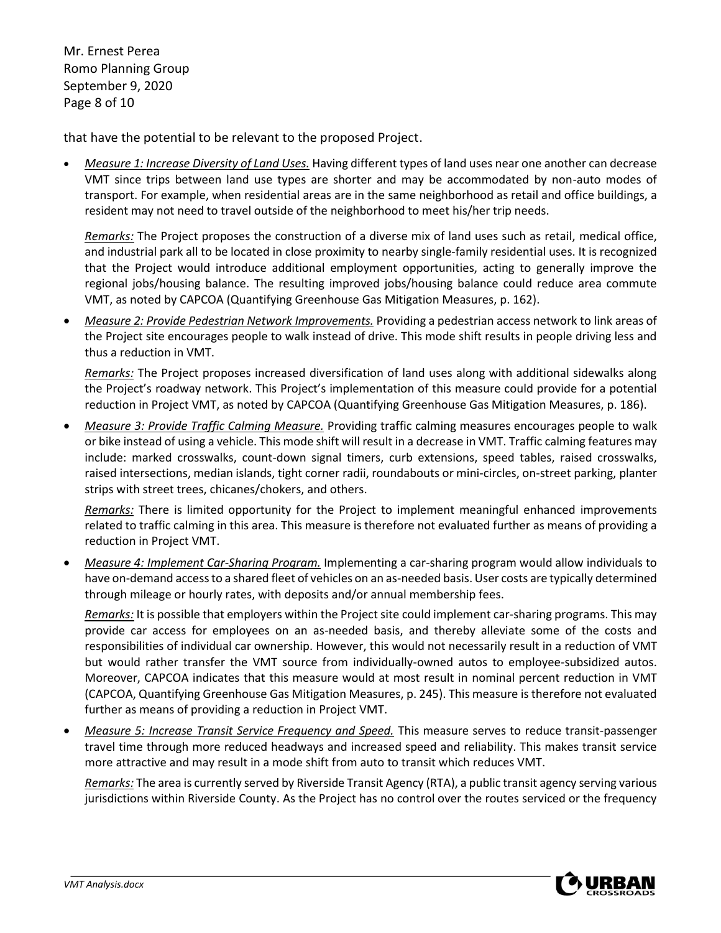Mr. Ernest Perea Romo Planning Group September 9, 2020 Page 8 of 10

that have the potential to be relevant to the proposed Project.

• *Measure 1: Increase Diversity of Land Uses.* Having different types of land uses near one another can decrease VMT since trips between land use types are shorter and may be accommodated by non-auto modes of transport. For example, when residential areas are in the same neighborhood as retail and office buildings, a resident may not need to travel outside of the neighborhood to meet his/her trip needs.

*Remarks:* The Project proposes the construction of a diverse mix of land uses such as retail, medical office, and industrial park all to be located in close proximity to nearby single-family residential uses. It is recognized that the Project would introduce additional employment opportunities, acting to generally improve the regional jobs/housing balance. The resulting improved jobs/housing balance could reduce area commute VMT, as noted by CAPCOA (Quantifying Greenhouse Gas Mitigation Measures, p. 162).

• *Measure 2: Provide Pedestrian Network Improvements.* Providing a pedestrian access network to link areas of the Project site encourages people to walk instead of drive. This mode shift results in people driving less and thus a reduction in VMT.

*Remarks:* The Project proposes increased diversification of land uses along with additional sidewalks along the Project's roadway network. This Project's implementation of this measure could provide for a potential reduction in Project VMT, as noted by CAPCOA (Quantifying Greenhouse Gas Mitigation Measures, p. 186).

• *Measure 3: Provide Traffic Calming Measure.* Providing traffic calming measures encourages people to walk or bike instead of using a vehicle. This mode shift will result in a decrease in VMT. Traffic calming features may include: marked crosswalks, count-down signal timers, curb extensions, speed tables, raised crosswalks, raised intersections, median islands, tight corner radii, roundabouts or mini-circles, on-street parking, planter strips with street trees, chicanes/chokers, and others.

*Remarks:* There is limited opportunity for the Project to implement meaningful enhanced improvements related to traffic calming in this area. This measure is therefore not evaluated further as means of providing a reduction in Project VMT.

• *Measure 4: Implement Car-Sharing Program.* Implementing a car-sharing program would allow individuals to have on-demand access to a shared fleet of vehicles on an as-needed basis. User costs are typically determined through mileage or hourly rates, with deposits and/or annual membership fees.

*Remarks:* It is possible that employers within the Project site could implement car-sharing programs. This may provide car access for employees on an as-needed basis, and thereby alleviate some of the costs and responsibilities of individual car ownership. However, this would not necessarily result in a reduction of VMT but would rather transfer the VMT source from individually-owned autos to employee-subsidized autos. Moreover, CAPCOA indicates that this measure would at most result in nominal percent reduction in VMT (CAPCOA, Quantifying Greenhouse Gas Mitigation Measures, p. 245). This measure is therefore not evaluated further as means of providing a reduction in Project VMT.

• *Measure 5: Increase Transit Service Frequency and Speed.* This measure serves to reduce transit-passenger travel time through more reduced headways and increased speed and reliability. This makes transit service more attractive and may result in a mode shift from auto to transit which reduces VMT.

*Remarks:* The area is currently served by Riverside Transit Agency (RTA), a public transit agency serving various jurisdictions within Riverside County. As the Project has no control over the routes serviced or the frequency

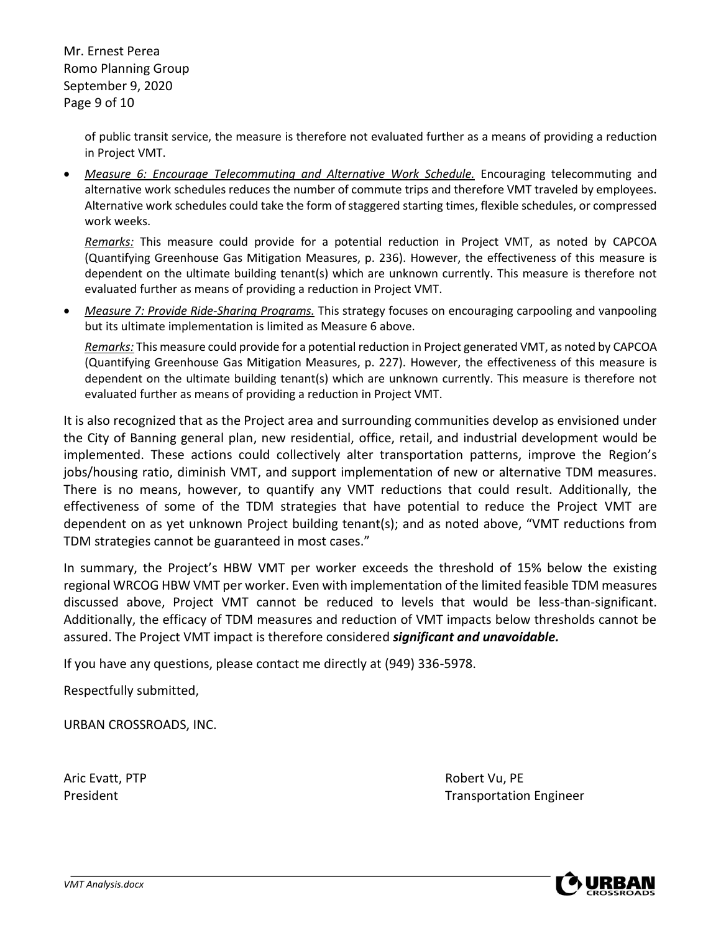Mr. Ernest Perea Romo Planning Group September 9, 2020 Page 9 of 10

> of public transit service, the measure is therefore not evaluated further as a means of providing a reduction in Project VMT.

• *Measure 6: Encourage Telecommuting and Alternative Work Schedule.* Encouraging telecommuting and alternative work schedules reduces the number of commute trips and therefore VMT traveled by employees. Alternative work schedules could take the form of staggered starting times, flexible schedules, or compressed work weeks.

*Remarks:* This measure could provide for a potential reduction in Project VMT, as noted by CAPCOA (Quantifying Greenhouse Gas Mitigation Measures, p. 236). However, the effectiveness of this measure is dependent on the ultimate building tenant(s) which are unknown currently. This measure is therefore not evaluated further as means of providing a reduction in Project VMT.

• *Measure 7: Provide Ride-Sharing Programs.* This strategy focuses on encouraging carpooling and vanpooling but its ultimate implementation is limited as Measure 6 above.

*Remarks:* This measure could provide for a potential reduction in Project generated VMT, as noted by CAPCOA (Quantifying Greenhouse Gas Mitigation Measures, p. 227). However, the effectiveness of this measure is dependent on the ultimate building tenant(s) which are unknown currently. This measure is therefore not evaluated further as means of providing a reduction in Project VMT.

It is also recognized that as the Project area and surrounding communities develop as envisioned under the City of Banning general plan, new residential, office, retail, and industrial development would be implemented. These actions could collectively alter transportation patterns, improve the Region's jobs/housing ratio, diminish VMT, and support implementation of new or alternative TDM measures. There is no means, however, to quantify any VMT reductions that could result. Additionally, the effectiveness of some of the TDM strategies that have potential to reduce the Project VMT are dependent on as yet unknown Project building tenant(s); and as noted above, "VMT reductions from TDM strategies cannot be guaranteed in most cases."

In summary, the Project's HBW VMT per worker exceeds the threshold of 15% below the existing regional WRCOG HBW VMT per worker. Even with implementation of the limited feasible TDM measures discussed above, Project VMT cannot be reduced to levels that would be less-than-significant. Additionally, the efficacy of TDM measures and reduction of VMT impacts below thresholds cannot be assured. The Project VMT impact is therefore considered *significant and unavoidable.*

If you have any questions, please contact me directly at (949) 336-5978.

Respectfully submitted,

URBAN CROSSROADS, INC.

Aric Evatt, PTP **Robert Vu, PE** 

President **Transportation Engineer Transportation Engineer** 

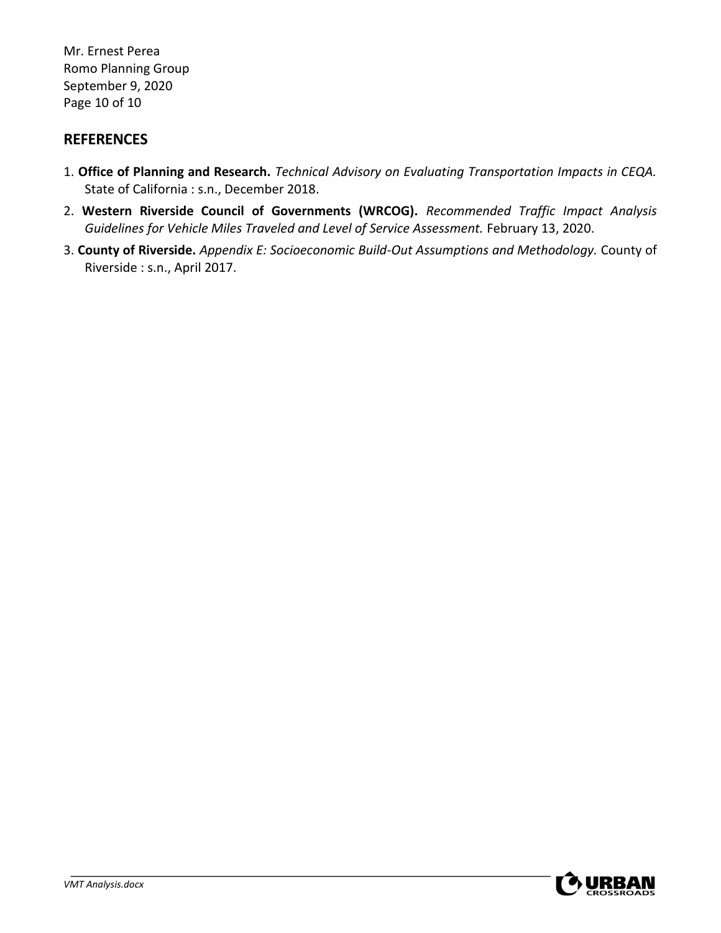Mr. Ernest Perea Romo Planning Group September 9, 2020 Page 10 of 10

### **REFERENCES**

- 1. **Office of Planning and Research.** *Technical Advisory on Evaluating Transportation Impacts in CEQA.*  State of California : s.n., December 2018.
- 2. **Western Riverside Council of Governments (WRCOG).** *Recommended Traffic Impact Analysis Guidelines for Vehicle Miles Traveled and Level of Service Assessment.* February 13, 2020.
- 3. **County of Riverside.** *Appendix E: Socioeconomic Build-Out Assumptions and Methodology.* County of Riverside : s.n., April 2017.

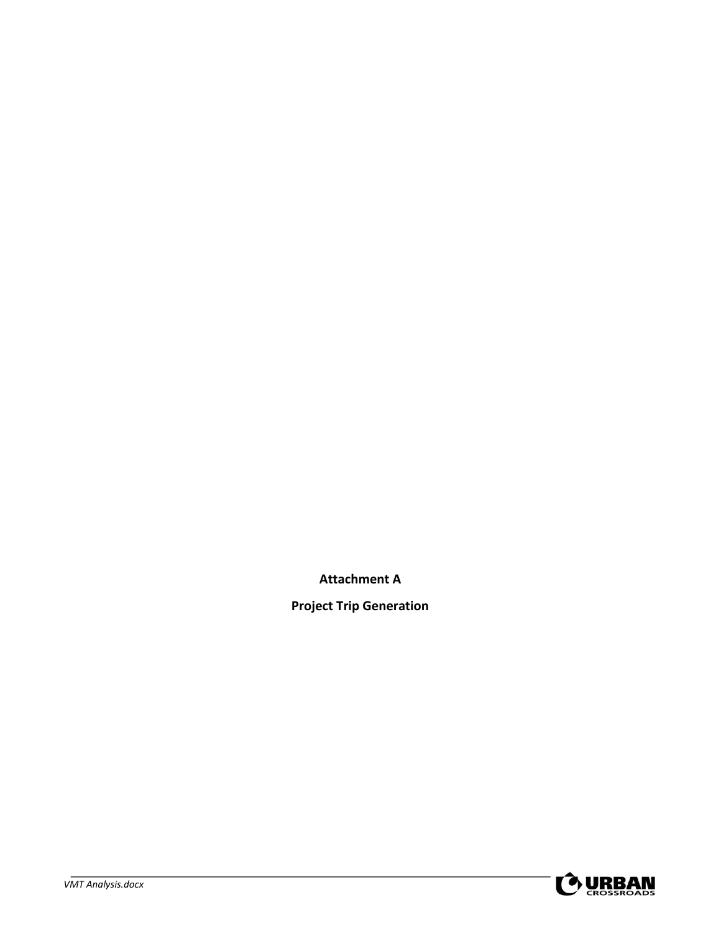**Attachment A**

**Project Trip Generation**

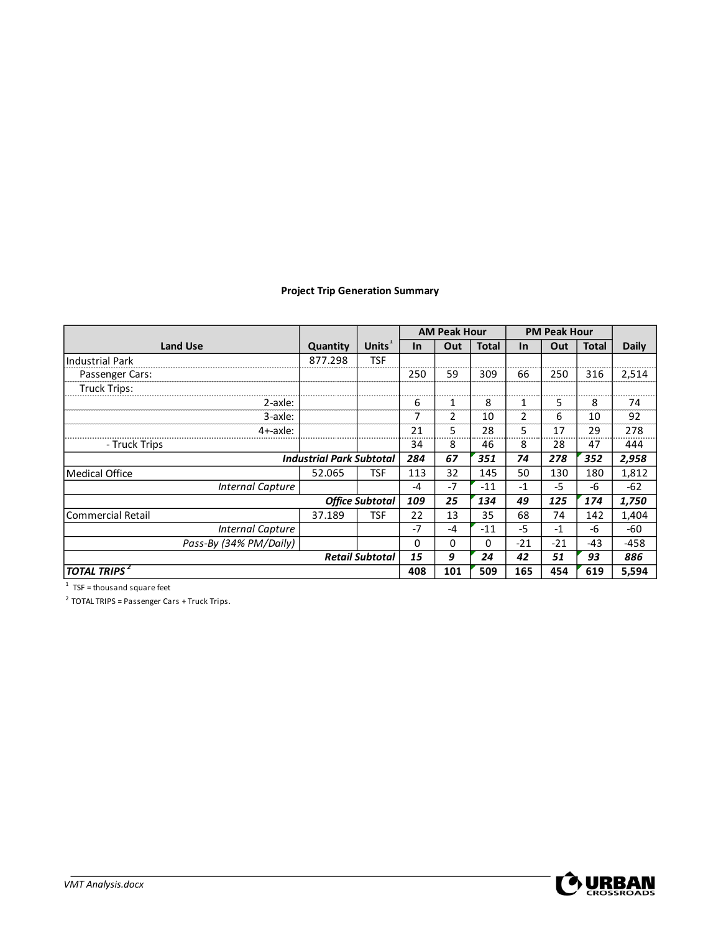### **Project Trip Generation Summary**

|                                 |          |                    | <b>AM Peak Hour</b> |      | <b>PM Peak Hour</b> |           |       |       |              |
|---------------------------------|----------|--------------------|---------------------|------|---------------------|-----------|-------|-------|--------------|
| <b>Land Use</b>                 | Quantity | Units <sup>1</sup> | $\ln$               | Out  | <b>Total</b>        | <b>In</b> | Out   | Total | <b>Daily</b> |
| <b>Industrial Park</b>          | 877.298  | <b>TSF</b>         |                     |      |                     |           |       |       |              |
| Passenger Cars:                 |          |                    | 250                 | 59   | 309                 | 66        | 250   | 316   | 2,514        |
| <b>Truck Trips:</b>             |          |                    |                     |      |                     |           |       |       |              |
| 2-axle:                         |          |                    | 6                   |      | 8                   |           | 5     | 8     | 74           |
| 3-axle:                         |          |                    | 7                   | 2    | 10                  | 2         | 6     | 10    | 92           |
| 4+-axle:                        |          |                    | 21                  | 5    | 28                  | 5         | 17    | 29    | 278          |
| - Truck Trips                   |          |                    | 34                  | 8    | 46                  | 8         | 28    | 47    | 444          |
| <b>Industrial Park Subtotal</b> |          |                    | 284                 | 67   | 351                 | 74        | 278   | 352   | 2,958        |
| <b>Medical Office</b>           | 52.065   | <b>TSF</b>         | 113                 | 32   | 145                 | 50        | 130   | 180   | 1,812        |
| <b>Internal Capture</b>         |          |                    | -4                  | $-7$ | $-11$               | $-1$      | -5    | -6    | $-62$        |
| <b>Office Subtotal</b>          |          | 109                | 25                  | 134  | 49                  | 125       | 174   | 1,750 |              |
| <b>Commercial Retail</b>        | 37.189   | <b>TSF</b>         | 22                  | 13   | 35                  | 68        | 74    | 142   | 1,404        |
| <b>Internal Capture</b>         |          |                    | $-7$                | $-4$ | $-11$               | $-5$      | $-1$  | $-6$  | $-60$        |
| Pass-By (34% PM/Daily)          |          |                    | 0                   | 0    | 0                   | $-21$     | $-21$ | -43   | $-458$       |
| <b>Retail Subtotal</b>          |          |                    | 15                  | 9    | 24                  | 42        | 51    | 93    | 886          |
| <b>TOTAL TRIPS</b> <sup>2</sup> |          |                    | 408                 | 101  | 509                 | 165       | 454   | 619   | 5,594        |

 $1$  TSF = thousand square feet

 $2$  TOTAL TRIPS = Passenger Cars + Truck Trips.

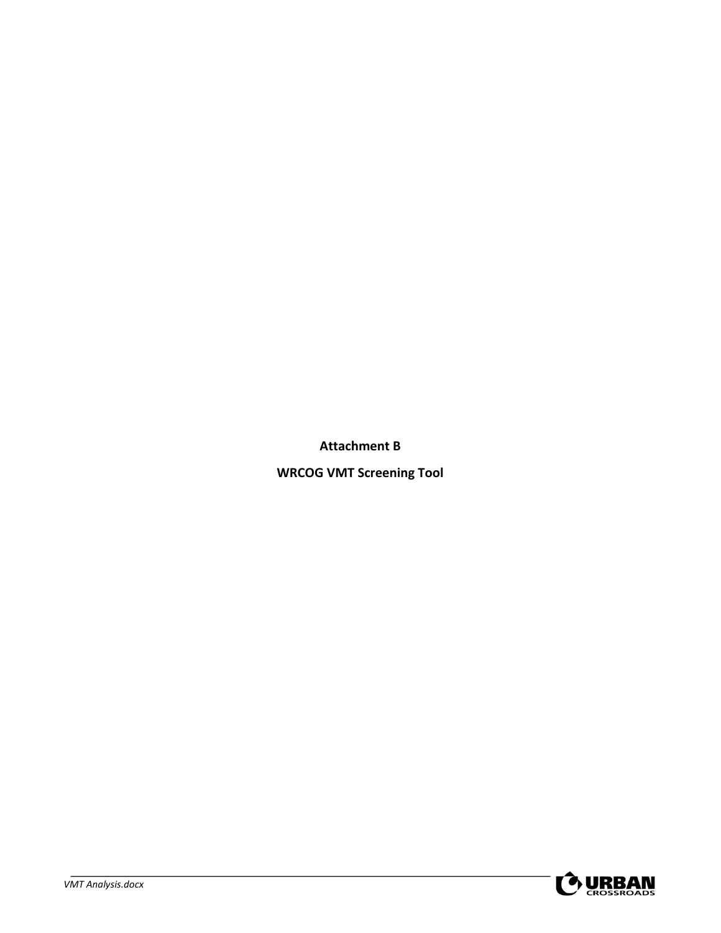**Attachment B**

**WRCOG VMT Screening Tool**